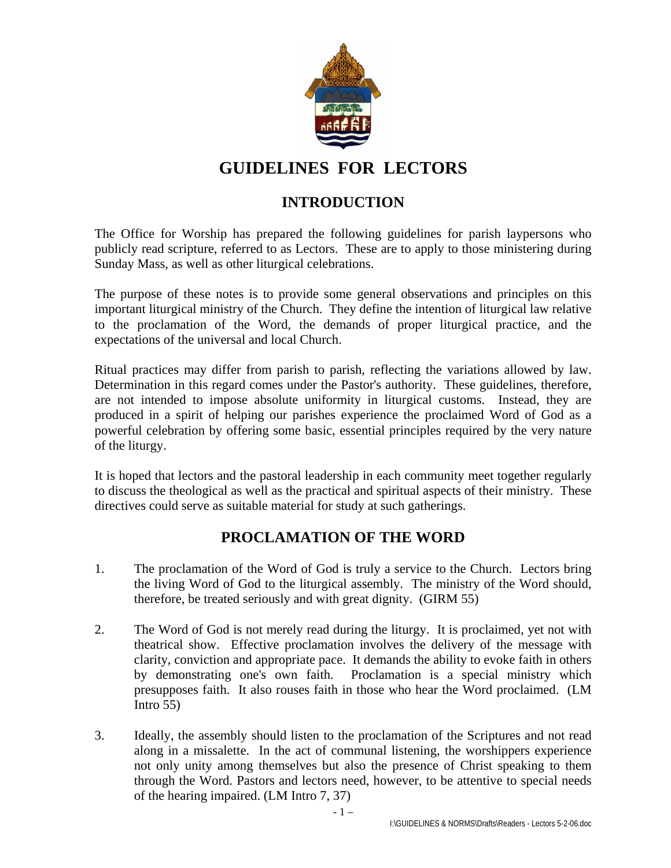

# **GUIDELINES FOR LECTORS**

### **INTRODUCTION**

The Office for Worship has prepared the following guidelines for parish laypersons who publicly read scripture, referred to as Lectors. These are to apply to those ministering during Sunday Mass, as well as other liturgical celebrations.

The purpose of these notes is to provide some general observations and principles on this important liturgical ministry of the Church. They define the intention of liturgical law relative to the proclamation of the Word, the demands of proper liturgical practice, and the expectations of the universal and local Church.

Ritual practices may differ from parish to parish, reflecting the variations allowed by law. Determination in this regard comes under the Pastor's authority. These guidelines, therefore, are not intended to impose absolute uniformity in liturgical customs. Instead, they are produced in a spirit of helping our parishes experience the proclaimed Word of God as a powerful celebration by offering some basic, essential principles required by the very nature of the liturgy.

It is hoped that lectors and the pastoral leadership in each community meet together regularly to discuss the theological as well as the practical and spiritual aspects of their ministry. These directives could serve as suitable material for study at such gatherings.

## **PROCLAMATION OF THE WORD**

- 1. The proclamation of the Word of God is truly a service to the Church. Lectors bring the living Word of God to the liturgical assembly. The ministry of the Word should, therefore, be treated seriously and with great dignity. (GIRM 55)
- 2. The Word of God is not merely read during the liturgy. It is proclaimed, yet not with theatrical show. Effective proclamation involves the delivery of the message with clarity, conviction and appropriate pace. It demands the ability to evoke faith in others by demonstrating one's own faith. Proclamation is a special ministry which presupposes faith. It also rouses faith in those who hear the Word proclaimed. (LM Intro 55)
- 3. Ideally, the assembly should listen to the proclamation of the Scriptures and not read along in a missalette. In the act of communal listening, the worshippers experience not only unity among themselves but also the presence of Christ speaking to them through the Word. Pastors and lectors need, however, to be attentive to special needs of the hearing impaired. (LM Intro 7, 37)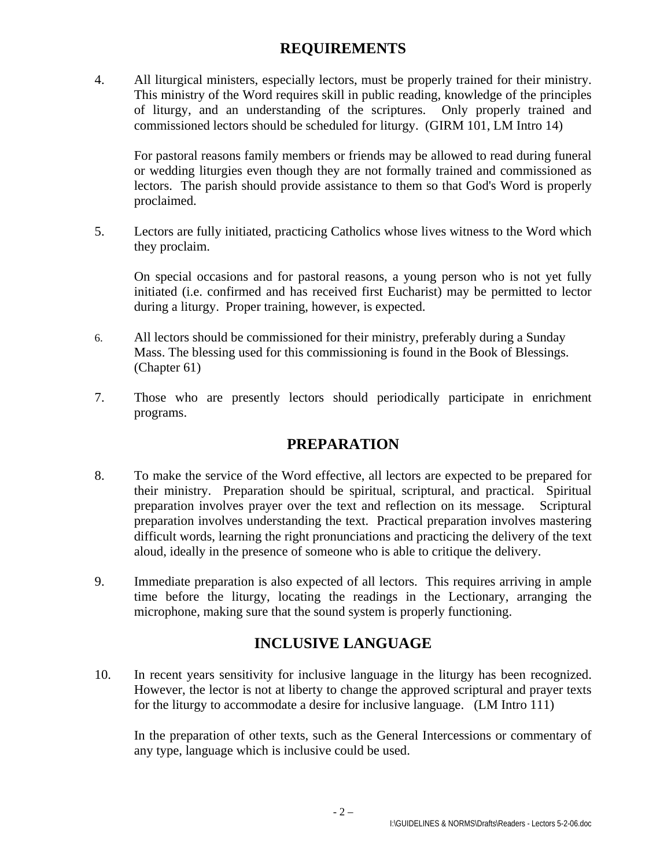### **REQUIREMENTS**

4. All liturgical ministers, especially lectors, must be properly trained for their ministry. This ministry of the Word requires skill in public reading, knowledge of the principles of liturgy, and an understanding of the scriptures. Only properly trained and commissioned lectors should be scheduled for liturgy. (GIRM 101, LM Intro 14)

For pastoral reasons family members or friends may be allowed to read during funeral or wedding liturgies even though they are not formally trained and commissioned as lectors. The parish should provide assistance to them so that God's Word is properly proclaimed.

5. Lectors are fully initiated, practicing Catholics whose lives witness to the Word which they proclaim.

On special occasions and for pastoral reasons, a young person who is not yet fully initiated (i.e. confirmed and has received first Eucharist) may be permitted to lector during a liturgy. Proper training, however, is expected.

- 6. All lectors should be commissioned for their ministry, preferably during a Sunday Mass. The blessing used for this commissioning is found in the Book of Blessings. (Chapter 61)
- 7. Those who are presently lectors should periodically participate in enrichment programs.

## **PREPARATION**

- 8. To make the service of the Word effective, all lectors are expected to be prepared for their ministry. Preparation should be spiritual, scriptural, and practical. Spiritual preparation involves prayer over the text and reflection on its message. Scriptural preparation involves understanding the text. Practical preparation involves mastering difficult words, learning the right pronunciations and practicing the delivery of the text aloud, ideally in the presence of someone who is able to critique the delivery.
- 9. Immediate preparation is also expected of all lectors. This requires arriving in ample time before the liturgy, locating the readings in the Lectionary, arranging the microphone, making sure that the sound system is properly functioning.

## **INCLUSIVE LANGUAGE**

10. In recent years sensitivity for inclusive language in the liturgy has been recognized. However, the lector is not at liberty to change the approved scriptural and prayer texts for the liturgy to accommodate a desire for inclusive language. (LM Intro 111)

In the preparation of other texts, such as the General Intercessions or commentary of any type, language which is inclusive could be used.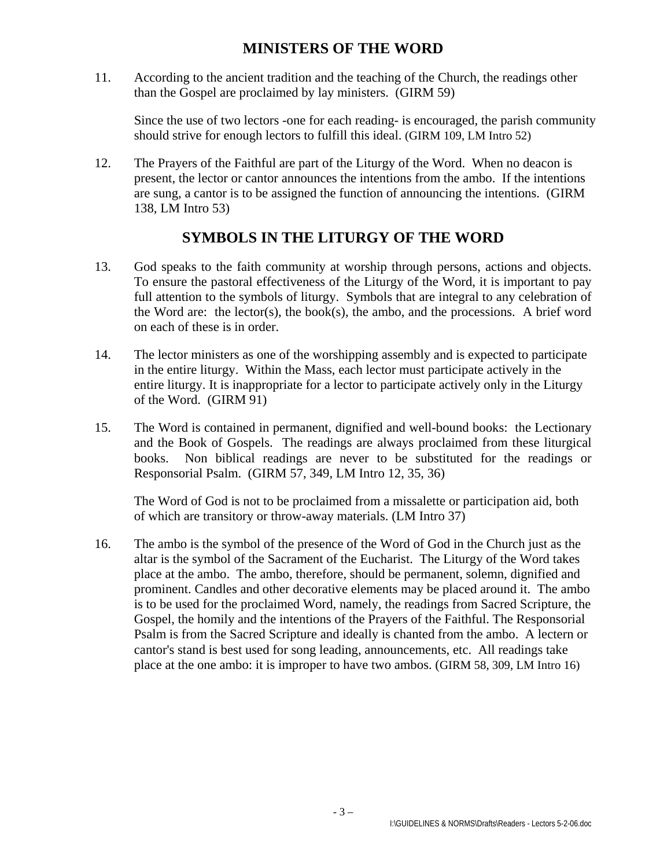#### **MINISTERS OF THE WORD**

11. According to the ancient tradition and the teaching of the Church, the readings other than the Gospel are proclaimed by lay ministers. (GIRM 59)

Since the use of two lectors -one for each reading- is encouraged, the parish community should strive for enough lectors to fulfill this ideal. (GIRM 109, LM Intro 52)

12. The Prayers of the Faithful are part of the Liturgy of the Word. When no deacon is present, the lector or cantor announces the intentions from the ambo. If the intentions are sung, a cantor is to be assigned the function of announcing the intentions. (GIRM 138, LM Intro 53)

### **SYMBOLS IN THE LITURGY OF THE WORD**

- 13. God speaks to the faith community at worship through persons, actions and objects. To ensure the pastoral effectiveness of the Liturgy of the Word, it is important to pay full attention to the symbols of liturgy. Symbols that are integral to any celebration of the Word are: the lector(s), the book(s), the ambo, and the processions. A brief word on each of these is in order.
- 14. The lector ministers as one of the worshipping assembly and is expected to participate in the entire liturgy. Within the Mass, each lector must participate actively in the entire liturgy. It is inappropriate for a lector to participate actively only in the Liturgy of the Word. (GIRM 91)
- 15. The Word is contained in permanent, dignified and well-bound books: the Lectionary and the Book of Gospels. The readings are always proclaimed from these liturgical books. Non biblical readings are never to be substituted for the readings or Responsorial Psalm. (GIRM 57, 349, LM Intro 12, 35, 36)

The Word of God is not to be proclaimed from a missalette or participation aid, both of which are transitory or throw-away materials. (LM Intro 37)

16. The ambo is the symbol of the presence of the Word of God in the Church just as the altar is the symbol of the Sacrament of the Eucharist. The Liturgy of the Word takes place at the ambo. The ambo, therefore, should be permanent, solemn, dignified and prominent. Candles and other decorative elements may be placed around it. The ambo is to be used for the proclaimed Word, namely, the readings from Sacred Scripture, the Gospel, the homily and the intentions of the Prayers of the Faithful. The Responsorial Psalm is from the Sacred Scripture and ideally is chanted from the ambo. A lectern or cantor's stand is best used for song leading, announcements, etc. All readings take place at the one ambo: it is improper to have two ambos. (GIRM 58, 309, LM Intro 16)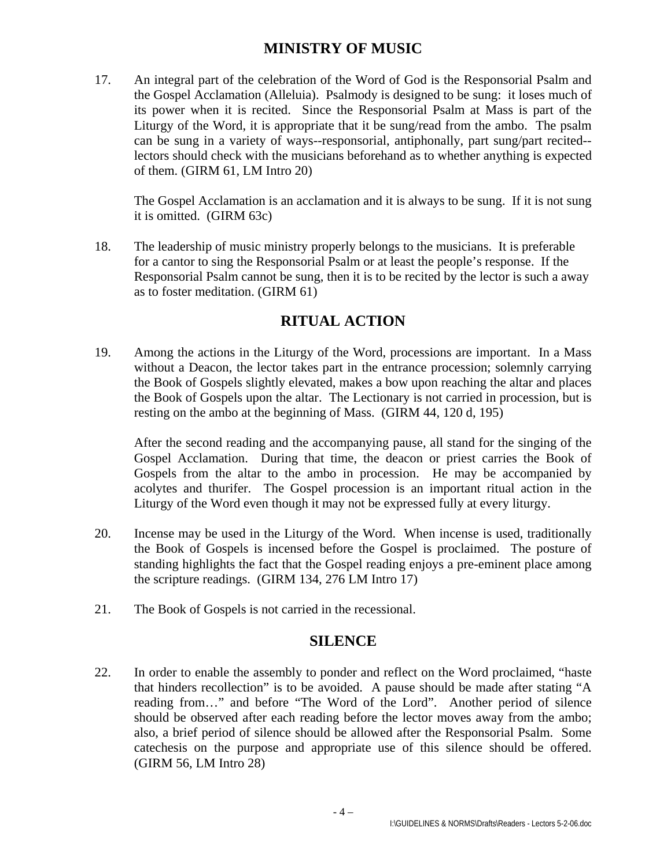#### **MINISTRY OF MUSIC**

17. An integral part of the celebration of the Word of God is the Responsorial Psalm and the Gospel Acclamation (Alleluia). Psalmody is designed to be sung: it loses much of its power when it is recited. Since the Responsorial Psalm at Mass is part of the Liturgy of the Word, it is appropriate that it be sung/read from the ambo. The psalm can be sung in a variety of ways--responsorial, antiphonally, part sung/part recited- lectors should check with the musicians beforehand as to whether anything is expected of them. (GIRM 61, LM Intro 20)

The Gospel Acclamation is an acclamation and it is always to be sung. If it is not sung it is omitted. (GIRM 63c)

18. The leadership of music ministry properly belongs to the musicians. It is preferable for a cantor to sing the Responsorial Psalm or at least the people's response. If the Responsorial Psalm cannot be sung, then it is to be recited by the lector is such a away as to foster meditation. (GIRM 61)

## **RITUAL ACTION**

19. Among the actions in the Liturgy of the Word, processions are important. In a Mass without a Deacon, the lector takes part in the entrance procession; solemnly carrying the Book of Gospels slightly elevated, makes a bow upon reaching the altar and places the Book of Gospels upon the altar. The Lectionary is not carried in procession, but is resting on the ambo at the beginning of Mass. (GIRM 44, 120 d, 195)

After the second reading and the accompanying pause, all stand for the singing of the Gospel Acclamation. During that time, the deacon or priest carries the Book of Gospels from the altar to the ambo in procession. He may be accompanied by acolytes and thurifer. The Gospel procession is an important ritual action in the Liturgy of the Word even though it may not be expressed fully at every liturgy.

- 20. Incense may be used in the Liturgy of the Word. When incense is used, traditionally the Book of Gospels is incensed before the Gospel is proclaimed. The posture of standing highlights the fact that the Gospel reading enjoys a pre-eminent place among the scripture readings. (GIRM 134, 276 LM Intro 17)
- 21. The Book of Gospels is not carried in the recessional.

#### **SILENCE**

22. In order to enable the assembly to ponder and reflect on the Word proclaimed, "haste that hinders recollection" is to be avoided. A pause should be made after stating "A reading from…" and before "The Word of the Lord". Another period of silence should be observed after each reading before the lector moves away from the ambo; also, a brief period of silence should be allowed after the Responsorial Psalm. Some catechesis on the purpose and appropriate use of this silence should be offered. (GIRM 56, LM Intro 28)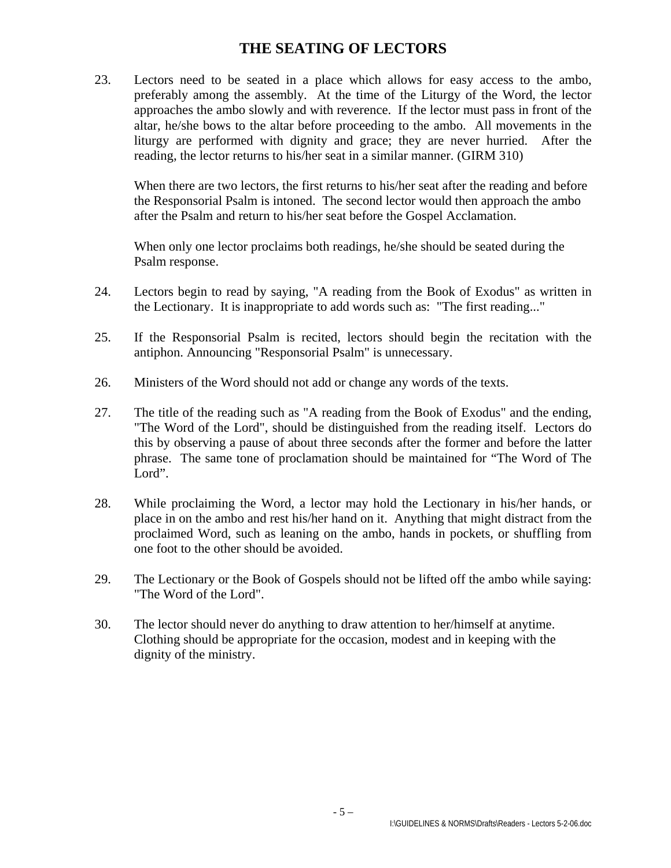### **THE SEATING OF LECTORS**

23. Lectors need to be seated in a place which allows for easy access to the ambo, preferably among the assembly. At the time of the Liturgy of the Word, the lector approaches the ambo slowly and with reverence. If the lector must pass in front of the altar, he/she bows to the altar before proceeding to the ambo. All movements in the liturgy are performed with dignity and grace; they are never hurried. After the reading, the lector returns to his/her seat in a similar manner. (GIRM 310)

When there are two lectors, the first returns to his/her seat after the reading and before the Responsorial Psalm is intoned. The second lector would then approach the ambo after the Psalm and return to his/her seat before the Gospel Acclamation.

When only one lector proclaims both readings, he/she should be seated during the Psalm response.

- 24. Lectors begin to read by saying, "A reading from the Book of Exodus" as written in the Lectionary. It is inappropriate to add words such as: "The first reading..."
- 25. If the Responsorial Psalm is recited, lectors should begin the recitation with the antiphon. Announcing "Responsorial Psalm" is unnecessary.
- 26. Ministers of the Word should not add or change any words of the texts.
- 27. The title of the reading such as "A reading from the Book of Exodus" and the ending, "The Word of the Lord", should be distinguished from the reading itself. Lectors do this by observing a pause of about three seconds after the former and before the latter phrase. The same tone of proclamation should be maintained for "The Word of The Lord".
- 28. While proclaiming the Word, a lector may hold the Lectionary in his/her hands, or place in on the ambo and rest his/her hand on it. Anything that might distract from the proclaimed Word, such as leaning on the ambo, hands in pockets, or shuffling from one foot to the other should be avoided.
- 29. The Lectionary or the Book of Gospels should not be lifted off the ambo while saying: "The Word of the Lord".
- 30. The lector should never do anything to draw attention to her/himself at anytime. Clothing should be appropriate for the occasion, modest and in keeping with the dignity of the ministry.